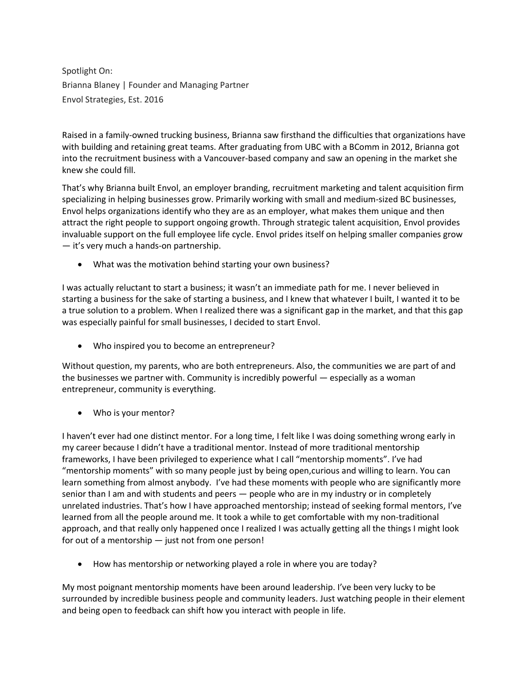Spotlight On: Brianna Blaney | Founder and Managing Partner Envol Strategies, Est. 2016

Raised in a family-owned trucking business, Brianna saw firsthand the difficulties that organizations have with building and retaining great teams. After graduating from UBC with a BComm in 2012, Brianna got into the recruitment business with a Vancouver-based company and saw an opening in the market she knew she could fill.

That's why Brianna built Envol, an employer branding, recruitment marketing and talent acquisition firm specializing in helping businesses grow. Primarily working with small and medium-sized BC businesses, Envol helps organizations identify who they are as an employer, what makes them unique and then attract the right people to support ongoing growth. Through strategic talent acquisition, Envol provides invaluable support on the full employee life cycle. Envol prides itself on helping smaller companies grow — it's very much a hands-on partnership.

What was the motivation behind starting your own business?

I was actually reluctant to start a business; it wasn't an immediate path for me. I never believed in starting a business for the sake of starting a business, and I knew that whatever I built, I wanted it to be a true solution to a problem. When I realized there was a significant gap in the market, and that this gap was especially painful for small businesses, I decided to start Envol.

Who inspired you to become an entrepreneur?

Without question, my parents, who are both entrepreneurs. Also, the communities we are part of and the businesses we partner with. Community is incredibly powerful — especially as a woman entrepreneur, community is everything.

Who is your mentor?

I haven't ever had one distinct mentor. For a long time, I felt like I was doing something wrong early in my career because I didn't have a traditional mentor. Instead of more traditional mentorship frameworks, I have been privileged to experience what I call "mentorship moments". I've had "mentorship moments" with so many people just by being open,curious and willing to learn. You can learn something from almost anybody. I've had these moments with people who are significantly more senior than I am and with students and peers — people who are in my industry or in completely unrelated industries. That's how I have approached mentorship; instead of seeking formal mentors, I've learned from all the people around me. It took a while to get comfortable with my non-traditional approach, and that really only happened once I realized I was actually getting all the things I might look for out of a mentorship — just not from one person!

How has mentorship or networking played a role in where you are today?

My most poignant mentorship moments have been around leadership. I've been very lucky to be surrounded by incredible business people and community leaders. Just watching people in their element and being open to feedback can shift how you interact with people in life.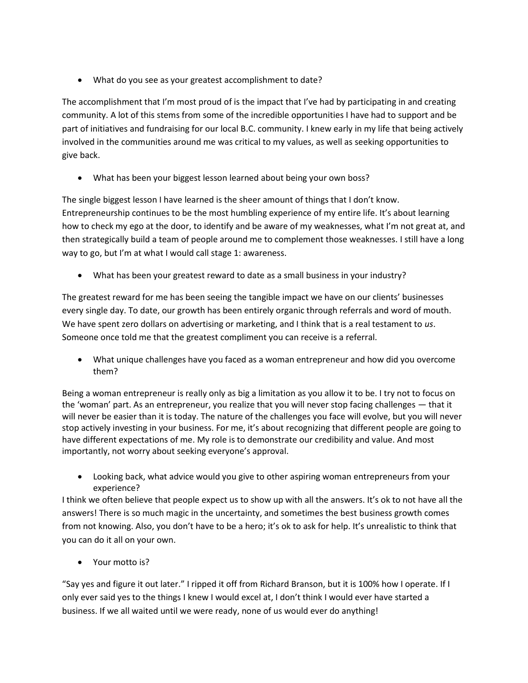What do you see as your greatest accomplishment to date?

The accomplishment that I'm most proud of is the impact that I've had by participating in and creating community. A lot of this stems from some of the incredible opportunities I have had to support and be part of initiatives and fundraising for our local B.C. community. I knew early in my life that being actively involved in the communities around me was critical to my values, as well as seeking opportunities to give back.

What has been your biggest lesson learned about being your own boss?

The single biggest lesson I have learned is the sheer amount of things that I don't know. Entrepreneurship continues to be the most humbling experience of my entire life. It's about learning how to check my ego at the door, to identify and be aware of my weaknesses, what I'm not great at, and then strategically build a team of people around me to complement those weaknesses. I still have a long way to go, but I'm at what I would call stage 1: awareness.

What has been your greatest reward to date as a small business in your industry?

The greatest reward for me has been seeing the tangible impact we have on our clients' businesses every single day. To date, our growth has been entirely organic through referrals and word of mouth. We have spent zero dollars on advertising or marketing, and I think that is a real testament to *us*. Someone once told me that the greatest compliment you can receive is a referral.

 What unique challenges have you faced as a woman entrepreneur and how did you overcome them?

Being a woman entrepreneur is really only as big a limitation as you allow it to be. I try not to focus on the 'woman' part. As an entrepreneur, you realize that you will never stop facing challenges — that it will never be easier than it is today. The nature of the challenges you face will evolve, but you will never stop actively investing in your business. For me, it's about recognizing that different people are going to have different expectations of me. My role is to demonstrate our credibility and value. And most importantly, not worry about seeking everyone's approval.

 Looking back, what advice would you give to other aspiring woman entrepreneurs from your experience?

I think we often believe that people expect us to show up with all the answers. It's ok to not have all the answers! There is so much magic in the uncertainty, and sometimes the best business growth comes from not knowing. Also, you don't have to be a hero; it's ok to ask for help. It's unrealistic to think that you can do it all on your own.

Your motto is?

"Say yes and figure it out later." I ripped it off from Richard Branson, but it is 100% how I operate. If I only ever said yes to the things I knew I would excel at, I don't think I would ever have started a business. If we all waited until we were ready, none of us would ever do anything!